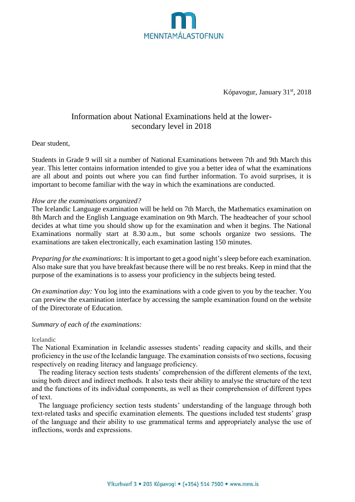

Kópavogur, January 31<sup>st</sup>, 2018

# Information about National Examinations held at the lowersecondary level in 2018

Dear student,

Students in Grade 9 will sit a number of National Examinations between 7th and 9th March this year. This letter contains information intended to give you a better idea of what the examinations are all about and points out where you can find further information. To avoid surprises, it is important to become familiar with the way in which the examinations are conducted.

### *How are the examinations organized?*

The Icelandic Language examination will be held on 7th March, the Mathematics examination on 8th March and the English Language examination on 9th March. The headteacher of your school decides at what time you should show up for the examination and when it begins. The National Examinations normally start at 8.30 a.m., but some schools organize two sessions. The examinations are taken electronically, each examination lasting 150 minutes.

*Preparing for the examinations:* It is important to get a good night's sleep before each examination. Also make sure that you have breakfast because there will be no rest breaks. Keep in mind that the purpose of the examinations is to assess your proficiency in the subjects being tested.

*On examination day:* You log into the examinations with a code given to you by the teacher. You can preview the examination interface by accessing the sample examination found on the website of the Directorate of Education.

## *Summary of each of the examinations:*

Icelandic

The National Examination in Icelandic assesses students' reading capacity and skills, and their proficiency in the use of the Icelandic language. The examination consists of two sections, focusing respectively on reading literacy and language proficiency.

The reading literacy section tests students' comprehension of the different elements of the text, using both direct and indirect methods. It also tests their ability to analyse the structure of the text and the functions of its individual components, as well as their comprehension of different types of text.

The language proficiency section tests students' understanding of the language through both text-related tasks and specific examination elements. The questions included test students' grasp of the language and their ability to use grammatical terms and appropriately analyse the use of inflections, words and expressions.